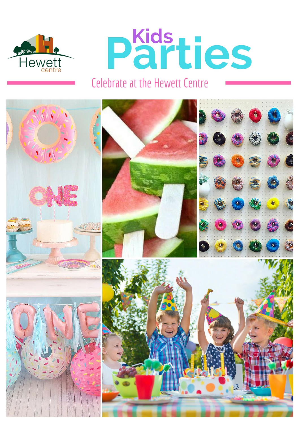



# **Celebrate at the Hewett Centre**

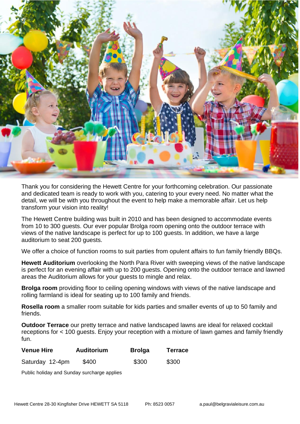

Thank you for considering the Hewett Centre for your forthcoming celebration. Our passionate and dedicated team is ready to work with you, catering to your every need. No matter what the detail, we will be with you throughout the event to help make a memorable affair. Let us help transform your vision into reality!

The Hewett Centre building was built in 2010 and has been designed to accommodate events from 10 to 300 guests. Our ever popular Brolga room opening onto the outdoor terrace with views of the native landscape is perfect for up to 100 guests. In addition, we have a large auditorium to seat 200 guests.

We offer a choice of function rooms to suit parties from opulent affairs to fun family friendly BBQs.

**Hewett Auditorium** overlooking the North Para River with sweeping views of the native landscape is perfect for an evening affair with up to 200 guests. Opening onto the outdoor terrace and lawned areas the Auditorium allows for your guests to mingle and relax.

**Brolga room** providing floor to ceiling opening windows with views of the native landscape and rolling farmland is ideal for seating up to 100 family and friends.

**Rosella room** a smaller room suitable for kids parties and smaller events of up to 50 family and friends.

**Outdoor Terrace** our pretty terrace and native landscaped lawns are ideal for relaxed cocktail receptions for < 100 guests. Enjoy your reception with a mixture of lawn games and family friendly fun.

| <b>Venue Hire</b> | <b>Auditorium</b> | <b>Brolga</b> | <b>Terrace</b> |  |
|-------------------|-------------------|---------------|----------------|--|
| Saturday 12-4pm   | \$400             | \$300         | \$300          |  |

Public holiday and Sunday surcharge applies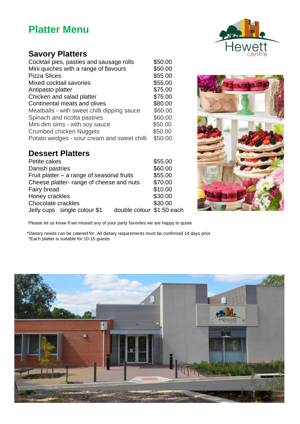## **Platter Menu**

#### **Savory Platters**

| Cocktail pies, pasties and sausage rolls    | \$50.00 |
|---------------------------------------------|---------|
| Mini quiches with a range of flavours       | \$50.00 |
| <b>Pizza Slices</b>                         | \$55.00 |
| Mixed cocktail savories                     | \$55.00 |
| Antipasto platter                           | \$75.00 |
| Chicken and salad platter                   | \$75.00 |
| Continental meats and olives                | \$80.00 |
| Meatballs - with sweet chilli dipping sauce | \$60.00 |
| Spinach and ricotta pastries                | \$60.00 |
| Mini dim sims - with soy sauce              | \$50.00 |
| <b>Crumbed chicken Nuggets</b>              | \$50.00 |
| Potato wedges - sour cream and sweet chilli | \$50.00 |

#### **Dessert Platters**

| \$55.00                   |
|---------------------------|
| \$60.00                   |
| \$55.00                   |
| \$70.00                   |
| \$10.00                   |
| \$30.00                   |
| \$30.00                   |
| double colour \$1.50 each |
|                           |



Please let us know if we missed any of your party favorites we are happy to quote

\*Dietary needs can be catered for. All dietary requirements must be confirmed 14 days prior \*Each platter is suitable for 10-15 guests